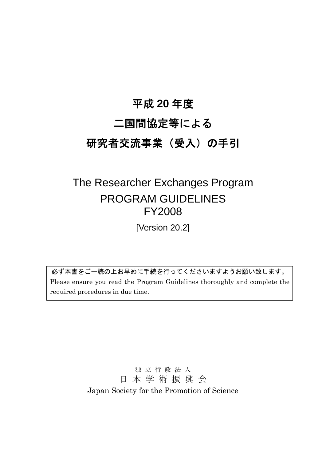# 平成 **20** 年度

# 二国間協定等による

# 研究者交流事業(受入)の手引

# The Researcher Exchanges Program PROGRAM GUIDELINES FY2008

[Version 20.2]

必ず本書をご一読の上お早めに手続を行ってくださいますようお願い致します。 Please ensure you read the Program Guidelines thoroughly and complete the required procedures in due time.

> 独 立 行 政 法 人 日 本 学 術 振 興 会 Japan Society for the Promotion of Science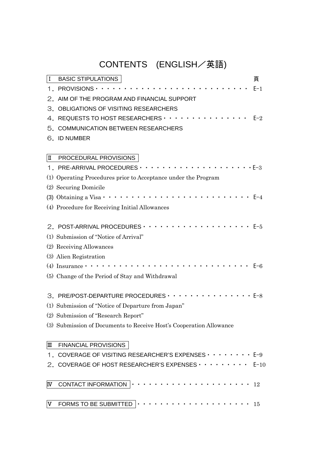# CONTENTS (ENGLISH/英語)

| I  | <b>BASIC STIPULATIONS</b>                                                | 頁       |
|----|--------------------------------------------------------------------------|---------|
|    | 1. PROVISIONS · · · · · · · · · · · · · · ·                              | $E-1$   |
| 2. | AIM OF THE PROGRAM AND FINANCIAL SUPPORT                                 |         |
| З. | OBLIGATIONS OF VISITING RESEARCHERS                                      |         |
| 4. | REQUESTS TO HOST RESEARCHERS $\cdots$                                    | $E-2$   |
|    | 5. COMMUNICATION BETWEEN RESEARCHERS                                     |         |
|    | 6. ID NUMBER                                                             |         |
|    |                                                                          |         |
| II | PROCEDURAL PROVISIONS                                                    |         |
|    |                                                                          |         |
|    | (1) Operating Procedures prior to Acceptance under the Program           |         |
|    | (2) Securing Domicile                                                    |         |
|    | (3) Obtaining a Visa $\cdot \cdot$                                       | $E - 4$ |
|    | (4) Procedure for Receiving Initial Allowances                           |         |
|    |                                                                          |         |
|    |                                                                          | $E-5$   |
|    | (1) Submission of "Notice of Arrival"                                    |         |
|    | (2) Receiving Allowances                                                 |         |
|    | (3) Alien Registration                                                   |         |
|    | .<br>(4) Insurance $\cdot \cdot \cdot \cdot \cdot \cdot$                 | $E-6$   |
|    | (5) Change of the Period of Stay and Withdrawal                          |         |
|    |                                                                          |         |
|    | 3. PRE/POST-DEPARTURE PROCEDURES · · · · · · · · · · · · · · · · · E-8   |         |
|    | (1) Submission of "Notice of Departure from Japan"                       |         |
|    | (2) Submission of "Research Report"                                      |         |
|    | (3) Submission of Documents to Receive Host's Cooperation Allowance      |         |
|    | <b>FINANCIAL PROVISIONS</b>                                              |         |
| Ш  | 1. COVERAGE OF VISITING RESEARCHER'S EXPENSES $\cdots \cdots \cdots$ E-9 |         |
|    | 2. COVERAGE OF HOST RESEARCHER'S EXPENSES E-10                           |         |
|    |                                                                          |         |
| IV |                                                                          | - 12    |
|    |                                                                          |         |
| V  |                                                                          | - 15    |
|    |                                                                          |         |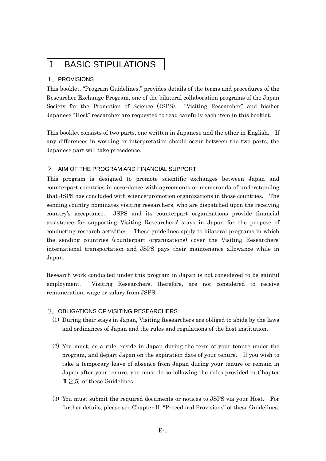## Ⅰ BASIC STIPULATIONS

#### 1.PROVISIONS

This booklet, "Program Guidelines," provides details of the terms and procedures of the Researcher Exchange Program, one of the bilateral collaboration programs of the Japan Society for the Promotion of Science (JSPS). "Visiting Researcher" and his/her Japanese "Host" researcher are requested to read carefully each item in this booklet.

This booklet consists of two parts, one written in Japanese and the other in English. If any differences in wording or interpretation should occur between the two parts, the Japanese part will take precedence.

#### 2. AIM OF THE PROGRAM AND FINANCIAL SUPPORT

This program is designed to promote scientific exchanges between Japan and counterpart countries in accordance with agreements or memoranda of understanding that JSPS has concluded with science-promotion organizations in those countries. The sending country nominates visiting researchers, who are dispatched upon the receiving country's acceptance. JSPS and its counterpart organizations provide financial assistance for supporting Visiting Researchers' stays in Japan for the purpose of conducting research activities. These guidelines apply to bilateral programs in which the sending countries (counterpart organizations) cover the Visiting Researchers' international transportation and JSPS pays their maintenance allowance while in Japan.

Research work conducted under this program in Japan is not considered to be gainful employment. Visiting Researchers, therefore, are not considered to receive remuneration, wage or salary from JSPS.

## 3.OBLIGATIONS OF VISITING RESEARCHERS

- (1) During their stays in Japan, Visiting Researchers are obliged to abide by the laws and ordinances of Japan and the rules and regulations of the host institution.
- (2) You must, as a rule, reside in Japan during the term of your tenure under the program, and depart Japan on the expiration date of your tenure. If you wish to take a temporary leave of absence from Japan during your tenure or remain in Japan after your tenure, you must do so following the rules provided in Chapter  $\mathbb{I}$  2(5) of these Guidelines.
- (3) You must submit the required documents or notices to JSPS via your Host. For further details, please see Chapter II, "Procedural Provisions" of these Guidelines.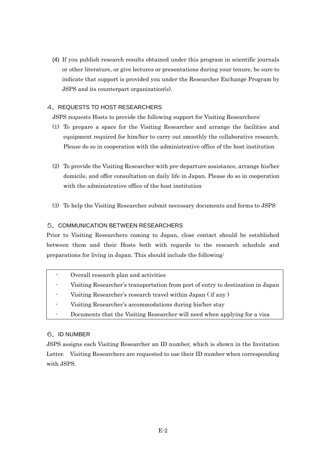(4) If you publish research results obtained under this program in scientific journals or other literature, or give lectures or presentations during your tenure, be sure to indicate that support is provided you under the Researcher Exchange Program by JSPS and its counterpart organization(s).

## 4. REQUESTS TO HOST RESEARCHERS

JSPS requests Hosts to provide the following support for Visiting Researchers:

- (1) To prepare a space for the Visiting Researcher and arrange the facilities and equipment required for him/her to carry out smoothly the collaborative research. Please do so in cooperation with the administrative office of the host institution
- (2) To provide the Visiting Researcher with pre-departure assistance, arrange his/her domicile, and offer consultation on daily life in Japan. Please do so in cooperation with the administrative office of the host institution
- (3) To help the Visiting Researcher submit necessary documents and forms to JSPS

## 5.COMMUNICATION BETWEEN RESEARCHERS

Prior to Visiting Researchers coming to Japan, close contact should be established between them and their Hosts both with regards to the research schedule and preparations for living in Japan. This should include the following:

| Overall research plan and activities                                            |
|---------------------------------------------------------------------------------|
| Visiting Researcher's transportation from port of entry to destination in Japan |
| Visiting Researcher's research travel within Japan (if any)                     |
| Visiting Researcher's accommodations during his/her stay                        |
| Documents that the Visiting Researcher will need when applying for a visa       |

## 6.ID NUMBER

JSPS assigns each Visiting Researcher an ID number, which is shown in the Invitation Letter. Visiting Researchers are requested to use their ID number when corresponding with JSPS.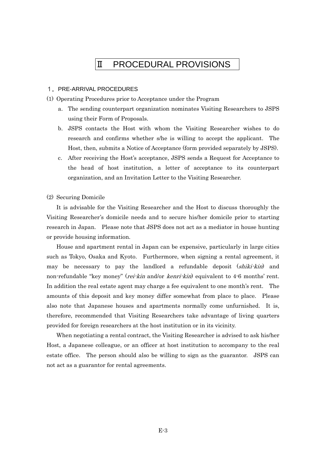## Ⅱ PROCEDURAL PROVISIONS

#### 1.PRE-ARRIVAL PROCEDURES

(1) Operating Procedures prior to Acceptance under the Program

- a. The sending counterpart organization nominates Visiting Researchers to JSPS using their Form of Proposals.
- b. JSPS contacts the Host with whom the Visiting Researcher wishes to do research and confirms whether s/he is willing to accept the applicant. The Host, then, submits a Notice of Acceptance (form provided separately by JSPS).
- c. After receiving the Host's acceptance, JSPS sends a Request for Acceptance to the head of host institution, a letter of acceptance to its counterpart organization, and an Invitation Letter to the Visiting Researcher.

#### (2) Securing Domicile

It is advisable for the Visiting Researcher and the Host to discuss thoroughly the Visiting Researcher's domicile needs and to secure his/her domicile prior to starting research in Japan. Please note that JSPS does not act as a mediator in house hunting or provide housing information.

House and apartment rental in Japan can be expensive, particularly in large cities such as Tokyo, Osaka and Kyoto. Furthermore, when signing a rental agreement, it may be necessary to pay the landlord a refundable deposit (shiki-kin) and non-refundable "key money" (*rei-kin* and/or *kenri-kin*) equivalent to 4-6 months' rent. In addition the real estate agent may charge a fee equivalent to one month's rent. The amounts of this deposit and key money differ somewhat from place to place. Please also note that Japanese houses and apartments normally come unfurnished. It is, therefore, recommended that Visiting Researchers take advantage of living quarters provided for foreign researchers at the host institution or in its vicinity.

When negotiating a rental contract, the Visiting Researcher is advised to ask his/her Host, a Japanese colleague, or an officer at host institution to accompany to the real estate office. The person should also be willing to sign as the guarantor. JSPS can not act as a guarantor for rental agreements.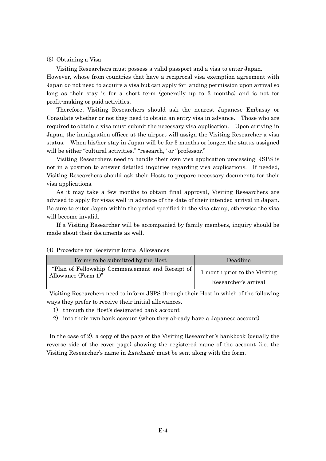#### (3) Obtaining a Visa

Visiting Researchers must possess a valid passport and a visa to enter Japan. However, whose from countries that have a reciprocal visa exemption agreement with Japan do not need to acquire a visa but can apply for landing permission upon arrival so long as their stay is for a short term (generally up to 3 months) and is not for profit-making or paid activities.

 Therefore, Visiting Researchers should ask the nearest Japanese Embassy or Consulate whether or not they need to obtain an entry visa in advance. Those who are required to obtain a visa must submit the necessary visa application. Upon arriving in Japan, the immigration officer at the airport will assign the Visiting Researcher a visa status. When his/her stay in Japan will be for 3 months or longer, the status assigned will be either "cultural activities," "research," or "professor."

 Visiting Researchers need to handle their own visa application processing; JSPS is not in a position to answer detailed inquiries regarding visa applications. If needed, Visiting Researchers should ask their Hosts to prepare necessary documents for their visa applications.

 As it may take a few months to obtain final approval, Visiting Researchers are advised to apply for visas well in advance of the date of their intended arrival in Japan. Be sure to enter Japan within the period specified in the visa stamp, otherwise the visa will become invalid.

 If a Visiting Researcher will be accompanied by family members, inquiry should be made about their documents as well.

| Forms to be submitted by the Host               | Deadline                      |
|-------------------------------------------------|-------------------------------|
| "Plan of Fellowship Commencement and Receipt of | 1 month prior to the Visiting |
| Allowance (Form $1$ )"                          | Researcher's arrival          |

#### (4) Procedure for Receiving Initial Allowances

 Visiting Researchers need to inform JSPS through their Host in which of the following ways they prefer to receive their initial allowances.

- 1) through the Host's designated bank account
- 2) into their own bank account (when they already have a Japanese account)

In the case of 2), a copy of the page of the Visiting Researcher's bankbook (usually the reverse side of the cover page) showing the registered name of the account (i.e. the Visiting Researcher's name in *katakana*) must be sent along with the form.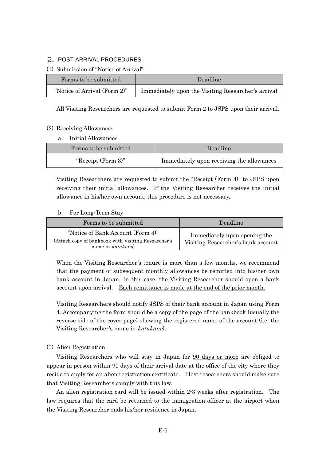#### 2.POST-ARRIVAL PROCEDURES

#### (1) Submission of "Notice of Arrival"

| Forms to be submitted        | Deadline                                           |
|------------------------------|----------------------------------------------------|
| "Notice of Arrival (Form 2)" | Immediately upon the Visiting Researcher's arrival |

All Visiting Researchers are requested to submit Form 2 to JSPS upon their arrival.

#### (2) Receiving Allowances

a. Initial Allowances

| Forms to be submitted | Deadline <sup>'</sup>                     |
|-----------------------|-------------------------------------------|
| "Receipt (Form 3)"    | Immediately upon receiving the allowances |

Visiting Researchers are requested to submit the "Receipt (Form 4)" to JSPS upon receiving their initial allowances. If the Visiting Researcher receives the initial allowance in his/her own account, this procedure is not necessary.

#### b. For Long-Term Stay

| Forms to be submitted                                                                                         | Deadline                                                           |
|---------------------------------------------------------------------------------------------------------------|--------------------------------------------------------------------|
| "Notice of Bank Account (Form 4)"<br>(Attach copy of bankbook with Visiting Researcher's<br>name in katakana) | Immediately upon opening the<br>Visiting Researcher's bank account |

When the Visiting Researcher's tenure is more than a few months, we recommend that the payment of subsequent monthly allowances be remitted into his/her own bank account in Japan. In this case, the Visiting Researcher should open a bank account upon arrival. Each remittance is made at the end of the prior month.

Visiting Researchers should notify JSPS of their bank account in Japan using Form 4. Accompanying the form should be a copy of the page of the bankbook (usually the reverse side of the cover page) showing the registered name of the account (i.e. the Visiting Researcher's name in katakana).

## (3) Alien Registration

Visiting Researchers who will stay in Japan for 90 days or more are obliged to appear in person within 90 days of their arrival date at the office of the city where they reside to apply for an alien registration certificate. Host researchers should make sure that Visiting Researchers comply with this law.

An alien registration card will be issued within 2-3 weeks after registration. The law requires that the card be returned to the immigration officer at the airport when the Visiting Researcher ends his/her residence in Japan.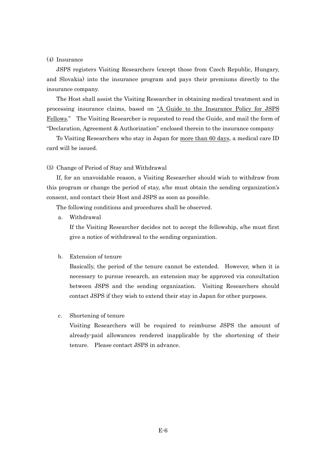#### (4) Insurance

JSPS registers Visiting Researchers (except those from Czech Republic, Hungary, and Slovakia) into the insurance program and pays their premiums directly to the insurance company.

The Host shall assist the Visiting Researcher in obtaining medical treatment and in processing insurance claims, based on "A Guide to the Insurance Policy for JSPS Fellows." The Visiting Researcher is requested to read the Guide, and mail the form of "Declaration, Agreement & Authorization" enclosed therein to the insurance company

To Visiting Researchers who stay in Japan for more than 60 days, a medical care ID card will be issued.

#### (5) Change of Period of Stay and Withdrawal

If, for an unavoidable reason, a Visiting Researcher should wish to withdraw from this program or change the period of stay, s/he must obtain the sending organization's consent, and contact their Host and JSPS as soon as possible.

The following conditions and procedures shall be observed.

a. Withdrawal

If the Visiting Researcher decides not to accept the fellowship, s/he must first give a notice of withdrawal to the sending organization.

#### b. Extension of tenure

Basically, the period of the tenure cannot be extended. However, when it is necessary to pursue research, an extension may be approved via consultation between JSPS and the sending organization. Visiting Researchers should contact JSPS if they wish to extend their stay in Japan for other purposes.

#### c. Shortening of tenure

Visiting Researchers will be required to reimburse JSPS the amount of already-paid allowances rendered inapplicable by the shortening of their tenure. Please contact JSPS in advance.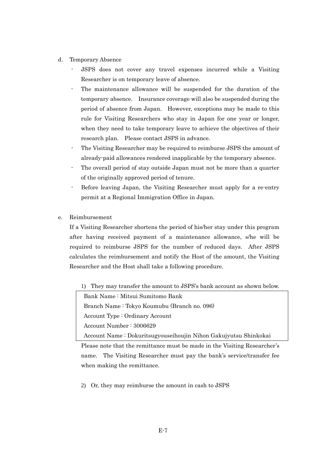- d. Temporary Absence
	- JSPS does not cover any travel expenses incurred while a Visiting Researcher is on temporary leave of absence.
	- The maintenance allowance will be suspended for the duration of the temporary absence. Insurance coverage will also be suspended during the period of absence from Japan. However, exceptions may be made to this rule for Visiting Researchers who stay in Japan for one year or longer, when they need to take temporary leave to achieve the objectives of their research plan. Please contact JSPS in advance.
	- The Visiting Researcher may be required to reimburse JSPS the amount of already-paid allowances rendered inapplicable by the temporary absence.
	- The overall period of stay outside Japan must not be more than a quarter of the originally approved period of tenure.
	- Before leaving Japan, the Visiting Researcher must apply for a re-entry permit at a Regional Immigration Office in Japan.
- e. Reimbursement

If a Visiting Researcher shortens the period of his/her stay under this program after having received payment of a maintenance allowance, s/he will be required to reimburse JSPS for the number of reduced days. After JSPS calculates the reimbursement and notify the Host of the amount, the Visiting Researcher and the Host shall take a following procedure.

1) They may transfer the amount to JSPS's bank account as shown below.

Bank Name : Mitsui Sumitomo Bank Branch Name : Tokyo Koumubu (Branch no. 096) Account Type : Ordinary Account Account Number : 3006629

Account Name : Dokuritsugyouseihoujin Nihon Gakujyutsu Shinkokai

Please note that the remittance must be made in the Visiting Researcher's name. The Visiting Researcher must pay the bank's service/transfer fee when making the remittance.

2) Or, they may reimburse the amount in cash to JSPS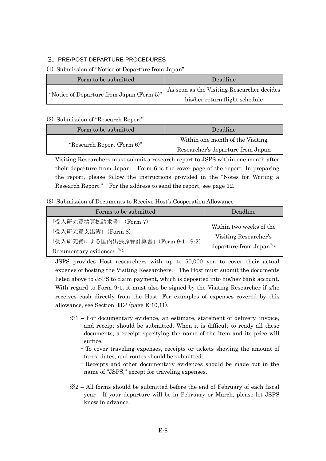## 3.PRE/POST-DEPARTURE PROCEDURES

## (1) Submission of "Notice of Departure from Japan"

| Form to be submitted                      | Deadline                                   |
|-------------------------------------------|--------------------------------------------|
| "Notice of Departure from Japan (Form 5)" | As soon as the Visiting Researcher decides |
|                                           | his/her return flight schedule             |

## (2) Submission of "Research Report"

| Form to be submitted       | Deadline                          |
|----------------------------|-----------------------------------|
|                            | Within one month of the Visiting  |
| "Research Report (Form 6)" | Researcher's departure from Japan |

Visiting Researchers must submit a research report to JSPS within one month after their departure from Japan. Form 6 is the cover page of the report. In preparing the report, please follow the instructions provided in the "Notes for Writing a Research Report." For the address to send the report, see page 12.

#### (3) Submission of Documents to Receive Host's Cooperation Allowance

| Forms to be submitted              | Deadline                            |
|------------------------------------|-------------------------------------|
| 「受入研究費精算払請求書」(Form 7)              |                                     |
| 「受入研究費支出簿」(Form 8)                 | Within two weeks of the             |
| 「受入研究費による国内出張旅費計算書」(Form 9-1, 9-2) | Visiting Researcher's               |
| Documentary evidences *1           | departure from Japan <sup>**2</sup> |

JSPS provides Host researchers with up to 50,000 yen to cover their actual expense of hosting the Visiting Researchers. The Host must submit the documents listed above to JSPS to claim payment, which is deposited into his/her bank account. With regard to Form 9-1, it must also be signed by the Visiting Researcher if s/he receives cash directly from the Host. For examples of expenses covered by this allowance, see Section Ⅲ2 (page E-10,11).

- ※1 For documentary evidence, an estimate, statement of delivery, invoice, and receipt should be submitted. When it is difficult to ready all these documents, a receipt specifying the name of the item and its price will suffice.
	- To cover traveling expenses, receipts or tickets showing the amount of fares, dates, and routes should be submitted.
	- Receipts and other documentary evidences should be made out in the name of "JSPS," except for traveling expenses.
- $\&2$  All forms should be submitted before the end of February of each fiscal year. If your departure will be in February or March, please let JSPS know in advance.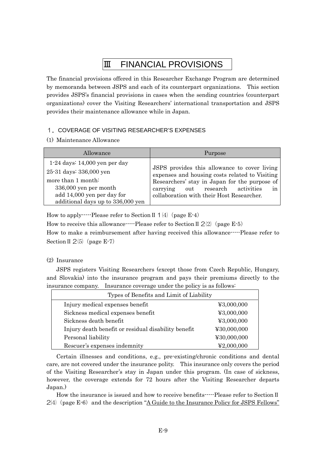# Ⅲ FINANCIAL PROVISIONS

The financial provisions offered in this Researcher Exchange Program are determined by memoranda between JSPS and each of its counterpart organizations. This section provides JSPS's financial provisions in cases when the sending countries (counterpart organizations) cover the Visiting Researchers' international transportation and JSPS provides their maintenance allowance while in Japan.

## 1.COVERAGE OF VISITING RESEARCHER'S EXPENSES

(1) Maintenance Allowance

| Allowance                         | Purpose                                        |
|-----------------------------------|------------------------------------------------|
| $1-24$ days: $14,000$ yen per day | JSPS provides this allowance to cover living   |
| 25-31 days: 336,000 yen           | expenses and housing costs related to Visiting |
| more than 1 month:                | Researchers' stay in Japan for the purpose of  |
| 336,000 yen per month             | carrying out research activities               |
| add 14,000 yen per day for        | in                                             |
| additional days up to 336,000 yen | collaboration with their Host Researcher.      |

How to apply-----Please refer to Section  $\mathbb{I}$  1(4) (page E-4)

How to receive this allowance-----Please refer to Section II  $2(2)$  (page E-5)

How to make a reimbursement after having received this allowance-----Please refer to Section II  $2(5)$  (page E-7)

## (2) Insurance

JSPS registers Visiting Researchers (except those from Czech Republic, Hungary, and Slovakia) into the insurance program and pays their premiums directly to the insurance company. Insurance coverage under the policy is as follows:

| Types of Benefits and Limit of Liability            |             |  |
|-----------------------------------------------------|-------------|--|
| Injury medical expenses benefit                     | 43,000,000  |  |
| Sickness medical expenses benefit                   | ¥3,000,000  |  |
| Sickness death benefit                              | ¥3,000,000  |  |
| Injury death benefit or residual disability benefit | ¥30,000,000 |  |
| Personal liability                                  | ¥30,000,000 |  |
| Rescuer's expenses indemnity                        | ¥2,000,000  |  |

Certain illnesses and conditions, e.g., pre-existing/chronic conditions and dental care, are not covered under the insurance polity. This insurance only covers the period of the Visiting Researcher's stay in Japan under this program. (In case of sickness, however, the coverage extends for 72 hours after the Visiting Researcher departs Japan.)

How the insurance is issued and how to receive benefits-----Please refer to Section II  $2/4$  (page E-6) and the description "A Guide to the Insurance Policy for JSPS Fellows"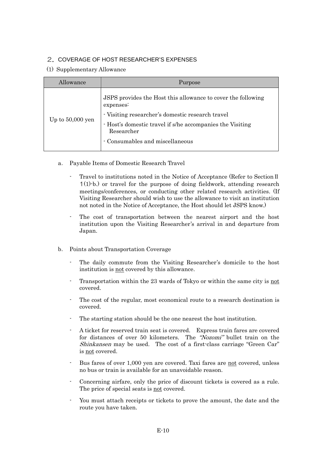## 2. COVERAGE OF HOST RESEARCHER'S EXPENSES

(1) Supplementary Allowance

| Allowance          | Purpose                                                                                                                                                                                                                                     |  |
|--------------------|---------------------------------------------------------------------------------------------------------------------------------------------------------------------------------------------------------------------------------------------|--|
| Up to $50,000$ yen | JSPS provides the Host this allowance to cover the following<br>expenses:<br>- Visiting researcher's domestic research travel<br>- Host's domestic travel if s/he accompanies the Visiting<br>Researcher<br>- Consumables and miscellaneous |  |

- a. Payable Items of Domestic Research Travel
	- Travel to institutions noted in the Notice of Acceptance (Refer to SectionⅡ 1(1)-b.) or travel for the purpose of doing fieldwork, attending research meetings/conferences, or conducting other related research activities. (If Visiting Researcher should wish to use the allowance to visit an institution not noted in the Notice of Acceptance, the Host should let JSPS know.)
	- The cost of transportation between the nearest airport and the host institution upon the Visiting Researcher's arrival in and departure from Japan.
- b. Points about Transportation Coverage
	- The daily commute from the Visiting Researcher's domicile to the host institution is not covered by this allowance.
	- Transportation within the 23 wards of Tokyo or within the same city is not covered.
	- The cost of the regular, most economical route to a research destination is covered.
	- The starting station should be the one nearest the host institution.
	- A ticket for reserved train seat is covered. Express train fares are covered for distances of over 50 kilometers. The "Nozomi" bullet train on the Shinkansen may be used. The cost of a first-class carriage "Green Car" is not covered.
	- Bus fares of over 1,000 yen are covered. Taxi fares are not covered, unless no bus or train is available for an unavoidable reason.
	- Concerning airfare, only the price of discount tickets is covered as a rule. The price of special seats is not covered.
	- You must attach receipts or tickets to prove the amount, the date and the route you have taken.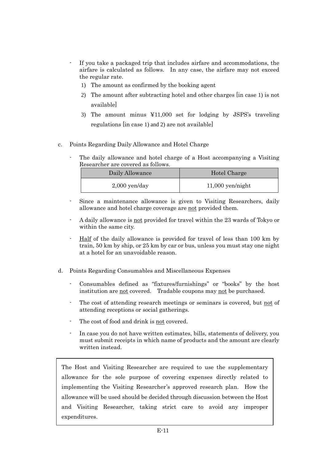- If you take a packaged trip that includes airfare and accommodations, the airfare is calculated as follows. In any case, the airfare may not exceed the regular rate.
	- 1) The amount as confirmed by the booking agent
	- 2) The amount after subtracting hotel and other charges [in case 1) is not available]
	- 3) The amount minus ¥11,000 set for lodging by JSPS's traveling regulations [in case 1) and 2) are not available]
- c. Points Regarding Daily Allowance and Hotel Charge
	- The daily allowance and hotel charge of a Host accompanying a Visiting Researcher are covered as follows.

| Daily Allowance | Hotel Charge       |
|-----------------|--------------------|
| $2,000$ yen/day | $11,000$ yen/night |

- Since a maintenance allowance is given to Visiting Researchers, daily allowance and hotel charge coverage are not provided them.
- A daily allowance is not provided for travel within the 23 wards of Tokyo or within the same city.
- Half of the daily allowance is provided for travel of less than 100 km by train, 50 km by ship, or 25 km by car or bus, unless you must stay one night at a hotel for an unavoidable reason.
- d. Points Regarding Consumables and Miscellaneous Expenses
	- Consumables defined as "fixtures/furnishings" or "books" by the host institution are not covered. Tradable coupons may not be purchased.
	- The cost of attending research meetings or seminars is covered, but not of attending receptions or social gatherings.
	- The cost of food and drink is not covered.
	- In case you do not have written estimates, bills, statements of delivery, you must submit receipts in which name of products and the amount are clearly written instead.

The Host and Visiting Researcher are required to use the supplementary allowance for the sole purpose of covering expenses directly related to implementing the Visiting Researcher's approved research plan. How the allowance will be used should be decided through discussion between the Host and Visiting Researcher, taking strict care to avoid any improper expenditures.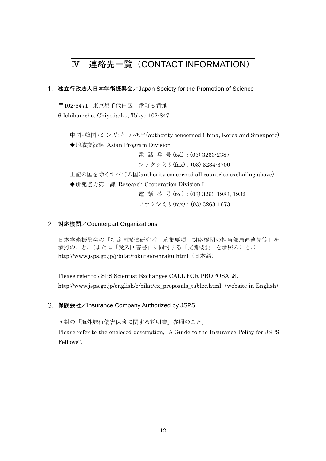# Ⅳ 連絡先一覧(CONTACT INFORMATION)

1. 独立行政法人日本学術振興会/Japan Society for the Promotion of Science

〒102-8471 東京都千代田区一番町 6 番地 6 Ichiban-cho. Chiyoda-ku, Tokyo 102-8471

中国・韓国・シンガポール担当(authority concerned China, Korea and Singapore) ◆地域交流課 Asian Program Division 電話番号 (tel): (03) 3263-2387 ファクシミリ(fax):(03) 3234-3700 上記の国を除くすべての国(authority concerned all countries excluding above)

◆研究協力第一課 Research Cooperation Division I

電話番号 (tel) :(03) 3263-1983, 1932 ファクシミリ(fax):(03) 3263-1673

#### 2.対応機関/Counterpart Organizations

日本学術振興会の「特定国派遣研究者 募集要項 対応機関の担当部局連絡先等」を 参照のこと。(または「受入回答書」に同封する「交流概要」を参照のこと。) http://www.jsps.go.jp/j-bilat/tokutei/renraku.html (日本語)

Please refer to JSPS Scientist Exchanges CALL FOR PROPOSALS. http://www.jsps.go.jp/english/e-bilat/ex\_proposals\_tablec.html(website in English)

3.保険会社/Insurance Company Authorized by JSPS

同封の「海外旅行傷害保険に関する説明書」参照のこと。

Please refer to the enclosed description, "A Guide to the Insurance Policy for JSPS Fellows".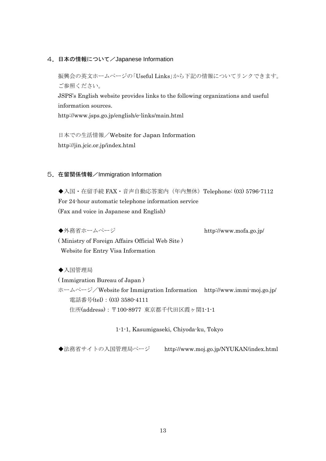4. 日本の情報について/Japanese Information

振興会の英文ホームページの「Useful Links」から下記の情報についてリンクできます。 ご参照ください。 JSPS's English website provides links to the following organizations and useful information sources. http://www.jsps.go.jp/english/e-links/main.html

日本での生活情報/Website for Japan Information http://jin.jcic.or.jp/index.html

#### 5.在留関係情報/Immigration Information

◆入国·在留手続 FAX·音声自動応答案内 (年内無休) Telephone: (03) 5796-7112 For 24-hour automatic telephone information service (Fax and voice in Japanese and English)

◆外務省ホームページ http://www.mofa.go.jp/ ( Ministry of Foreign Affairs Official Web Site ) Website for Entry Visa Information

◆入国管理局

( Immigration Bureau of Japan ) ホームページ/Website for Immigration Information http://www.immi-moj.go.jp/ 電話番号(tel):(03) 3580-4111 住所(address):〒100-8977 東京都千代田区霞ヶ関1-1-1

1-1-1, Kasumigaseki, Chiyoda-ku, Tokyo

◆法務省サイトの入国管理局ページ http://www.moj.go.jp/NYUKAN/index.html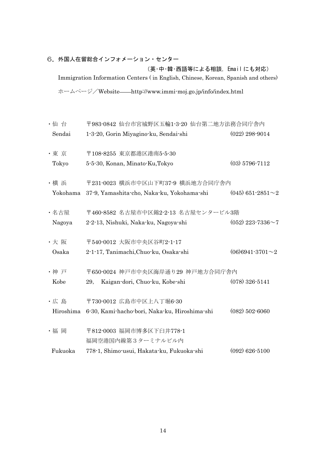# 6.外国人在留総合インフォメーション・センター

(英・中・韓・西語等による相談,Email にも対応) Immigration Information Centers ( in English, Chinese, Korean, Spanish and others) ホームページ/Website http://www.immi-moj.go.jp/info/index.html

| ・仙 台           | 〒983-0842 仙台市宮城野区五輪1-3-20 仙台第二地方法務合同庁舎内                                     |                           |
|----------------|-----------------------------------------------------------------------------|---------------------------|
| Sendai         | 1-3-20, Gorin Miyagino-ku, Sendai-shi                                       | $(022)$ 298-9014          |
| ·東京<br>Tokyo   | 〒108-8255 東京都港区港南5-5-30<br>5-5-30, Konan, Minato-Ku, Tokyo                  | $(03)$ 5796-7112          |
| ·横浜            | 〒231-0023 横浜市中区山下町37-9 横浜地方合同庁舎内                                            |                           |
| Yokohama       | 37-9, Yamashita-cho, Naka-ku, Yokohama-shi                                  | $(045)$ 651-2851 $\sim$ 2 |
| ・名古屋<br>Nagoya | 〒460-8582 名古屋市中区錦2-2-13 名古屋センタービル3階<br>2-2-13, Nishuki, Naka-ku, Nagoya-shi | $(052)$ 223-7336 $\sim$ 7 |
| ·大阪            | 〒540-0012 大阪市中央区谷町2-1-17                                                    |                           |
| Osaka          | 2-1-17, Tanimachi, Chuo-ku, Osaka-shi                                       | $(06)6941-3701\sim 2$     |
| •神戸<br>Kobe    | 〒650-0024 神戸市中央区海岸通り29 神戸地方合同庁舎内<br>Kaigan-dori, Chuo-ku, Kobe-shi<br>29,   | $(078)$ 326-5141          |
| ·広島            | 〒730-0012 広島市中区上八丁堀6-30                                                     |                           |
| Hiroshima      | 6-30, Kami-hacho-bori, Naka-ku, Hiroshima-shi                               | $(082)$ 502-6060          |
| ・福 岡           | 〒812-0003 福岡市博多区下臼井778-1<br>福岡空港国内線第3ターミナルビル内                               |                           |
| Fukuoka        | 778-1, Shimo-usui, Hakata-ku, Fukuoka-shi                                   | $(092)$ 626-5100          |